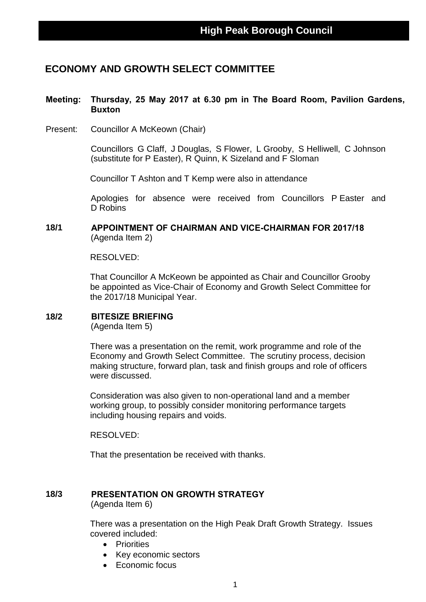# **ECONOMY AND GROWTH SELECT COMMITTEE**

# **Meeting: Thursday, 25 May 2017 at 6.30 pm in The Board Room, Pavilion Gardens, Buxton**

Present: Councillor A McKeown (Chair)

Councillors G Claff, J Douglas, S Flower, L Grooby, S Helliwell, C Johnson (substitute for P Easter), R Quinn, K Sizeland and F Sloman

Councillor T Ashton and T Kemp were also in attendance

Apologies for absence were received from Councillors P Easter and D Robins

## **18/1 APPOINTMENT OF CHAIRMAN AND VICE-CHAIRMAN FOR 2017/18** (Agenda Item 2)

RESOLVED:

That Councillor A McKeown be appointed as Chair and Councillor Grooby be appointed as Vice-Chair of Economy and Growth Select Committee for the 2017/18 Municipal Year.

## **18/2 BITESIZE BRIEFING**

(Agenda Item 5)

There was a presentation on the remit, work programme and role of the Economy and Growth Select Committee. The scrutiny process, decision making structure, forward plan, task and finish groups and role of officers were discussed.

Consideration was also given to non-operational land and a member working group, to possibly consider monitoring performance targets including housing repairs and voids.

RESOLVED:

That the presentation be received with thanks.

#### **18/3 PRESENTATION ON GROWTH STRATEGY** (Agenda Item 6)

There was a presentation on the High Peak Draft Growth Strategy. Issues covered included:

- **•** Priorities
- Key economic sectors
- Economic focus